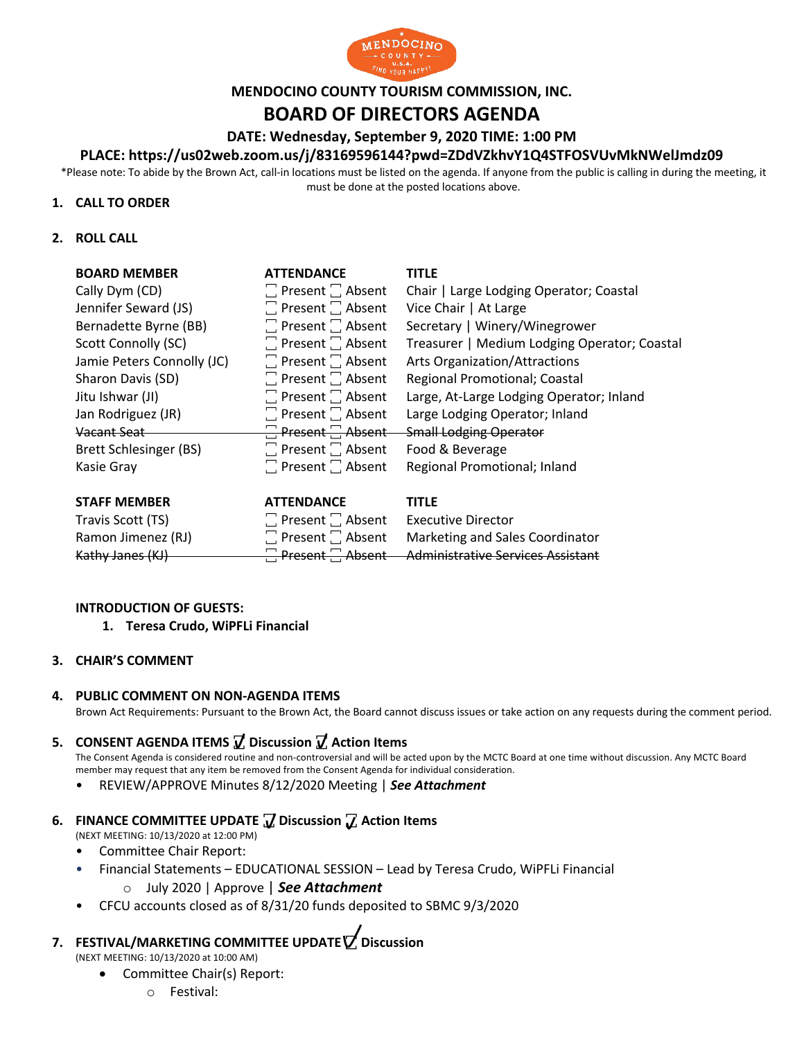

#### **MENDOCINO COUNTY TOURISM COMMISSION, INC.**

# **BOARD OF DIRECTORS AGENDA**

**DATE: Wednesday, September 9, 2020 TIME: 1:00 PM**

#### **PLACE: https://us02web.zoom.us/j/83169596144?pwd=ZDdVZkhvY1Q4STFOSVUvMkNWelJmdz09**

\*Please note: To abide by the Brown Act, call-in locations must be listed on the agenda. If anyone from the public is calling in during the meeting, it must be done at the posted locations above.

#### **1. CALL TO ORDER**

#### **2. ROLL CALL**

| <b>BOARD MEMBER</b>           | <b>ATTENDANCE</b>            | <b>TITLE</b>                                 |
|-------------------------------|------------------------------|----------------------------------------------|
| Cally Dym (CD)                | $\Box$ Present $\Box$ Absent | Chair   Large Lodging Operator; Coastal      |
| Jennifer Seward (JS)          | $\Box$ Present $\Box$ Absent | Vice Chair   At Large                        |
| Bernadette Byrne (BB)         | $\Box$ Present $\Box$ Absent | Secretary   Winery/Winegrower                |
| Scott Connolly (SC)           | $\Box$ Present $\Box$ Absent | Treasurer   Medium Lodging Operator; Coastal |
| Jamie Peters Connolly (JC)    | $\Box$ Present $\Box$ Absent | <b>Arts Organization/Attractions</b>         |
| Sharon Davis (SD)             | $\Box$ Present $\Box$ Absent | Regional Promotional; Coastal                |
| Jitu Ishwar (JI)              | $\Box$ Present $\Box$ Absent | Large, At-Large Lodging Operator; Inland     |
| Jan Rodriguez (JR)            | $\Box$ Present $\Box$ Absent | Large Lodging Operator; Inland               |
| Vacant Seat                   | $\Box$ Present $\Box$ Absent | <b>Small Lodging Operator</b>                |
| <b>Brett Schlesinger (BS)</b> | $\Box$ Present $\Box$ Absent | Food & Beverage                              |
| Kasie Gray                    | $\Box$ Present $\Box$ Absent | Regional Promotional; Inland                 |
| CTACE MACMADED                | <b>ATTENIDANCE</b>           | TITI C                                       |

| <b>STAFF MEMBER</b> | <b>ATTENDANCE</b>            | <b>TITLE</b>                                                 |
|---------------------|------------------------------|--------------------------------------------------------------|
| Travis Scott (TS)   | $\Box$ Present $\Box$ Absent | <b>Executive Director</b>                                    |
| Ramon Jimenez (RJ)  |                              | $\Box$ Present $\Box$ Absent Marketing and Sales Coordinator |
| Kathy Janes (KJ)    |                              | Present Absent Administrative Services Assistant             |

#### **INTRODUCTION OF GUESTS:**

#### **1. Teresa Crudo, WiPFLi Financial**

#### **3. CHAIR'S COMMENT**

#### **4. PUBLIC COMMENT ON NON-AGENDA ITEMS**

Brown Act Requirements: Pursuant to the Brown Act, the Board cannot discuss issues or take action on any requests during the comment period.

# **5. CONSENT AGENDA ITEMS ꙱ Discussion ꙱ Action Items**

The Consent Agenda is considered routine and non-controversial and will be acted upon by the MCTC Board at one time without discussion. Any MCTC Board member may request that any item be removed from the Consent Agenda for individual consideration.

• REVIEW/APPROVE Minutes 8/12/2020 Meeting | *See Attachment*

# **6. FINANCE COMMITTEE UPDATE** *J* **Discussion** *<i>J* **Action Items**

- (NEXT MEETING: 10/13/2020 at 12:00 PM)
- Committee Chair Report:
- Financial Statements EDUCATIONAL SESSION Lead by Teresa Crudo, WiPFLi Financial
	- o July 2020 | Approve | *See Attachment* m
- CFCU accounts closed as of 8/31/20 funds deposited to SBMC 9/3/2020

#### **7. FESTIVAL/MARKETING COMMITTEE UPDATE ꙱ Discussion**  t e

(NEXT MEETING: 10/13/2020 at 10:00 AM)

- Committee Chair(s) Report:
	- o Festival: